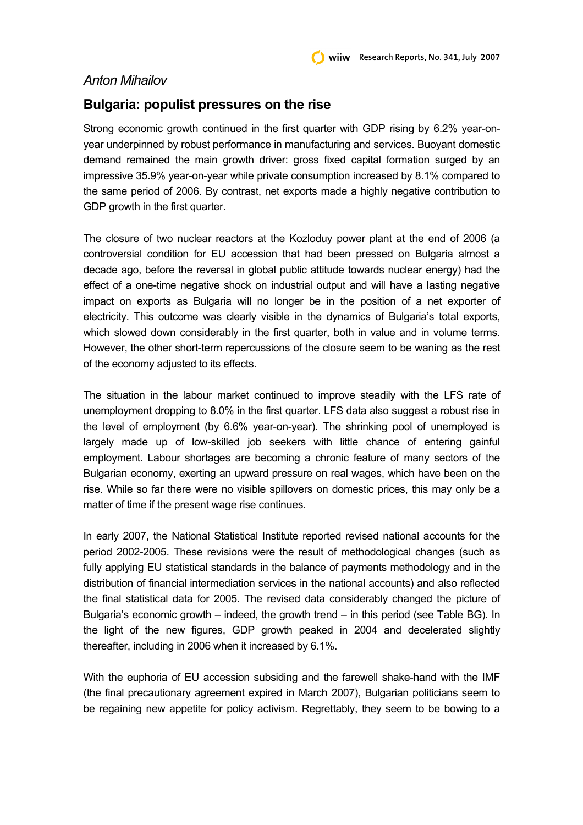## *Anton Mihailov*

## **Bulgaria: populist pressures on the rise**

Strong economic growth continued in the first quarter with GDP rising by 6.2% year-onyear underpinned by robust performance in manufacturing and services. Buoyant domestic demand remained the main growth driver: gross fixed capital formation surged by an impressive 35.9% year-on-year while private consumption increased by 8.1% compared to the same period of 2006. By contrast, net exports made a highly negative contribution to GDP growth in the first quarter.

The closure of two nuclear reactors at the Kozloduy power plant at the end of 2006 (a controversial condition for EU accession that had been pressed on Bulgaria almost a decade ago, before the reversal in global public attitude towards nuclear energy) had the effect of a one-time negative shock on industrial output and will have a lasting negative impact on exports as Bulgaria will no longer be in the position of a net exporter of electricity. This outcome was clearly visible in the dynamics of Bulgaria's total exports, which slowed down considerably in the first quarter, both in value and in volume terms. However, the other short-term repercussions of the closure seem to be waning as the rest of the economy adjusted to its effects.

The situation in the labour market continued to improve steadily with the LFS rate of unemployment dropping to 8.0% in the first quarter. LFS data also suggest a robust rise in the level of employment (by 6.6% year-on-year). The shrinking pool of unemployed is largely made up of low-skilled job seekers with little chance of entering gainful employment. Labour shortages are becoming a chronic feature of many sectors of the Bulgarian economy, exerting an upward pressure on real wages, which have been on the rise. While so far there were no visible spillovers on domestic prices, this may only be a matter of time if the present wage rise continues.

In early 2007, the National Statistical Institute reported revised national accounts for the period 2002-2005. These revisions were the result of methodological changes (such as fully applying EU statistical standards in the balance of payments methodology and in the distribution of financial intermediation services in the national accounts) and also reflected the final statistical data for 2005. The revised data considerably changed the picture of Bulgaria's economic growth – indeed, the growth trend – in this period (see Table BG). In the light of the new figures, GDP growth peaked in 2004 and decelerated slightly thereafter, including in 2006 when it increased by 6.1%.

With the euphoria of EU accession subsiding and the farewell shake-hand with the IMF (the final precautionary agreement expired in March 2007), Bulgarian politicians seem to be regaining new appetite for policy activism. Regrettably, they seem to be bowing to a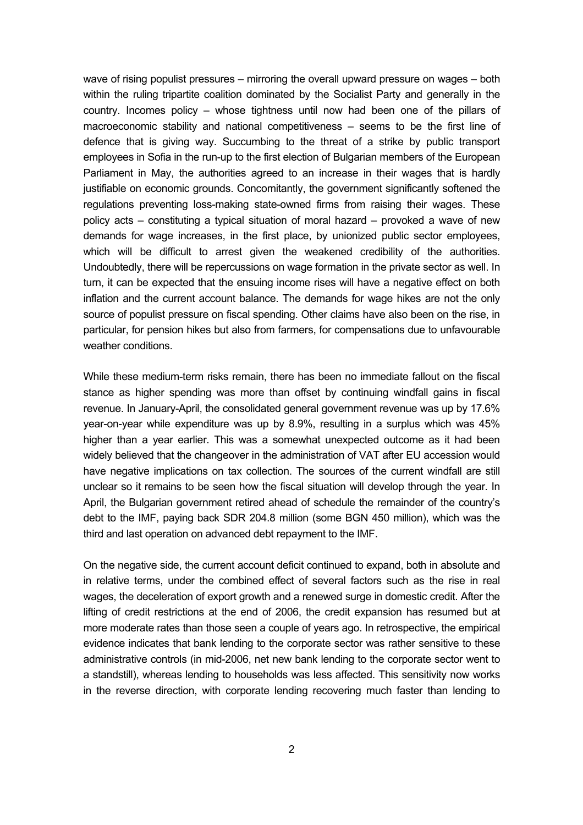wave of rising populist pressures – mirroring the overall upward pressure on wages – both within the ruling tripartite coalition dominated by the Socialist Party and generally in the country. Incomes policy – whose tightness until now had been one of the pillars of macroeconomic stability and national competitiveness – seems to be the first line of defence that is giving way. Succumbing to the threat of a strike by public transport employees in Sofia in the run-up to the first election of Bulgarian members of the European Parliament in May, the authorities agreed to an increase in their wages that is hardly justifiable on economic grounds. Concomitantly, the government significantly softened the regulations preventing loss-making state-owned firms from raising their wages. These policy acts – constituting a typical situation of moral hazard – provoked a wave of new demands for wage increases, in the first place, by unionized public sector employees, which will be difficult to arrest given the weakened credibility of the authorities. Undoubtedly, there will be repercussions on wage formation in the private sector as well. In turn, it can be expected that the ensuing income rises will have a negative effect on both inflation and the current account balance. The demands for wage hikes are not the only source of populist pressure on fiscal spending. Other claims have also been on the rise, in particular, for pension hikes but also from farmers, for compensations due to unfavourable weather conditions.

While these medium-term risks remain, there has been no immediate fallout on the fiscal stance as higher spending was more than offset by continuing windfall gains in fiscal revenue. In January-April, the consolidated general government revenue was up by 17.6% year-on-year while expenditure was up by 8.9%, resulting in a surplus which was 45% higher than a year earlier. This was a somewhat unexpected outcome as it had been widely believed that the changeover in the administration of VAT after EU accession would have negative implications on tax collection. The sources of the current windfall are still unclear so it remains to be seen how the fiscal situation will develop through the year. In April, the Bulgarian government retired ahead of schedule the remainder of the country's debt to the IMF, paying back SDR 204.8 million (some BGN 450 million), which was the third and last operation on advanced debt repayment to the IMF.

On the negative side, the current account deficit continued to expand, both in absolute and in relative terms, under the combined effect of several factors such as the rise in real wages, the deceleration of export growth and a renewed surge in domestic credit. After the lifting of credit restrictions at the end of 2006, the credit expansion has resumed but at more moderate rates than those seen a couple of years ago. In retrospective, the empirical evidence indicates that bank lending to the corporate sector was rather sensitive to these administrative controls (in mid-2006, net new bank lending to the corporate sector went to a standstill), whereas lending to households was less affected. This sensitivity now works in the reverse direction, with corporate lending recovering much faster than lending to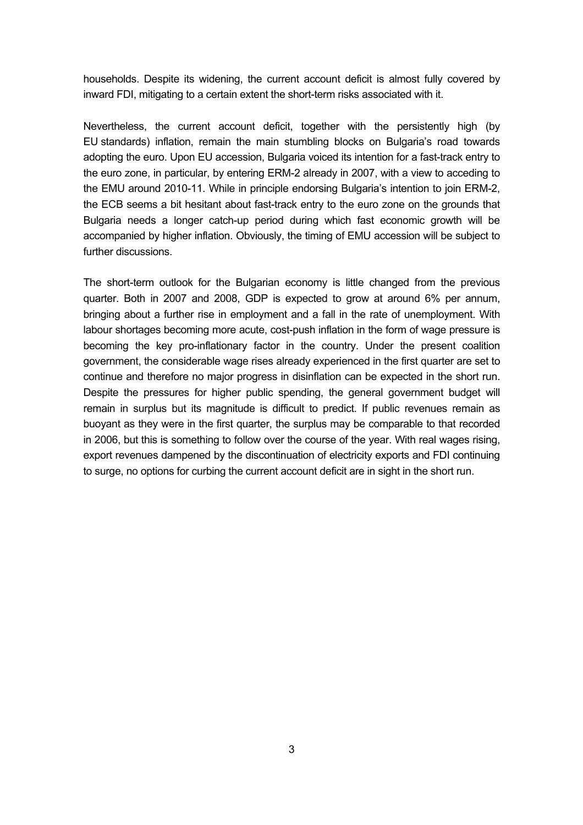households. Despite its widening, the current account deficit is almost fully covered by inward FDI, mitigating to a certain extent the short-term risks associated with it.

Nevertheless, the current account deficit, together with the persistently high (by EU standards) inflation, remain the main stumbling blocks on Bulgaria's road towards adopting the euro. Upon EU accession, Bulgaria voiced its intention for a fast-track entry to the euro zone, in particular, by entering ERM-2 already in 2007, with a view to acceding to the EMU around 2010-11. While in principle endorsing Bulgaria's intention to join ERM-2, the ECB seems a bit hesitant about fast-track entry to the euro zone on the grounds that Bulgaria needs a longer catch-up period during which fast economic growth will be accompanied by higher inflation. Obviously, the timing of EMU accession will be subject to further discussions.

The short-term outlook for the Bulgarian economy is little changed from the previous quarter. Both in 2007 and 2008, GDP is expected to grow at around 6% per annum, bringing about a further rise in employment and a fall in the rate of unemployment. With labour shortages becoming more acute, cost-push inflation in the form of wage pressure is becoming the key pro-inflationary factor in the country. Under the present coalition government, the considerable wage rises already experienced in the first quarter are set to continue and therefore no major progress in disinflation can be expected in the short run. Despite the pressures for higher public spending, the general government budget will remain in surplus but its magnitude is difficult to predict. If public revenues remain as buoyant as they were in the first quarter, the surplus may be comparable to that recorded in 2006, but this is something to follow over the course of the year. With real wages rising, export revenues dampened by the discontinuation of electricity exports and FDI continuing to surge, no options for curbing the current account deficit are in sight in the short run.